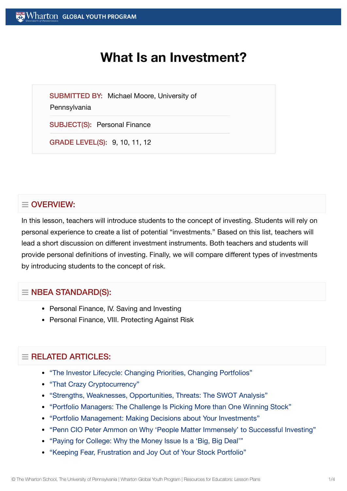# **What Is an Investment?**

SUBMITTED BY: Michael Moore, University of

**Pennsylvania** 

SUBJECT(S): Personal Finance

GRADE LEVEL(S): 9, 10, 11, 12

# $\equiv$  OVERVIEW:

In this lesson, teachers will introduce students to the concept of investing. Students will rely on personal experience to create a list of potential "investments." Based on this list, teachers will lead a short discussion on different investment instruments. Both teachers and students will provide personal definitions of investing. Finally, we will compare different types of investments by introducing students to the concept of risk.

# $\equiv$  NBEA STANDARD(S):

- Personal Finance, IV. Saving and Investing
- Personal Finance, VIII. Protecting Against Risk

# $=$  RELATED ARTICLES:

- "The Investor Lifecycle: Changing Priorities, Changing [Portfolios"](https://globalyouth.wharton.upenn.edu/articles/the-investor-lifecycle-changing-priorities-changing-portfolios/)
- "That [Crazy Cryptocurrency"](https://globalyouth.wharton.upenn.edu/articles/that-crazy-cryptocurrency/)
- "Strengths, Weaknesses, [Opportunities,](https://globalyouth.wharton.upenn.edu/articles/strengths-weaknesses-opportunities-threats-the-swot-analysis/) Threats: The SWOT Analysis"
- "Portfolio [Managers:](https://globalyouth.wharton.upenn.edu/articles/portfolio-managers-the-challenge-is-making-more-than-one-winning-stock-pick/) The Challenge Is Picking More than One Winning Stock"
- "Portfolio Management: Making [Decisions about](https://globalyouth.wharton.upenn.edu/articles/portfolio-management-making-decisions-about-your-investments/) Your Investments"
- "Penn CIO Peter Ammon on [Why 'People](https://globalyouth.wharton.upenn.edu/articles/penn-peter-ammon-successful-investing/) Matter Immensely' to Successful Investing"
- "Paying for College: [Why the](https://globalyouth.wharton.upenn.edu/articles/paying-for-college-merit-aid-student-loans-and-graduating-on-time/) Money Issue Is a 'Big, Big Deal'"
- "Keeping Fear, [Frustration](https://globalyouth.wharton.upenn.edu/articles/keeping-fear-frustration-joy-out-of-stock-portfolio/) and Joy Out of Your Stock Portfolio"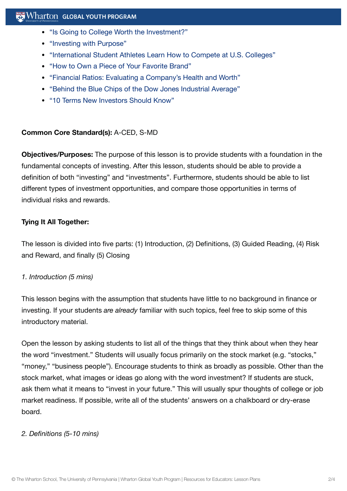- "Is Going to College Worth the [Investment?"](https://globalyouth.wharton.upenn.edu/articles/is-going-to-college-worth-the-investment/)
- ["Investing](https://globalyouth.wharton.upenn.edu/articles/investing-with-purpose/) with Purpose"
- "International Student [Athletes Learn](https://globalyouth.wharton.upenn.edu/articles/international-student-athletes-learn-how-to-compete-at-u-s-colleges/) How to Compete at U.S. Colleges"
- "How to Own a Piece of Your [Favorite](https://globalyouth.wharton.upenn.edu/articles/own-brands-you-love/) Brand"
- "Financial Ratios: Evaluating a [Company's Health](https://globalyouth.wharton.upenn.edu/articles/financial-ratios-evaluating-a-companys-health-and-worth/) and Worth"
- "Behind the Blue Chips of the Dow [Jones Industrial](https://globalyouth.wharton.upenn.edu/articles/behind-the-blue-chips-of-the-dow-jones-industrial-average/) Average"
- "10 Terms New [Investors Should](https://globalyouth.wharton.upenn.edu/articles/the-top-10-terms-every-new-investor-should-know/) Know"

#### **Common Core Standard(s):** A-CED, S-MD

**Objectives/Purposes:** The purpose of this lesson is to provide students with a foundation in the fundamental concepts of investing. After this lesson, students should be able to provide a definition of both "investing" and "investments". Furthermore, students should be able to list different types of investment opportunities, and compare those opportunities in terms of individual risks and rewards.

#### **Tying It All Together:**

The lesson is divided into five parts: (1) Introduction, (2) Definitions, (3) Guided Reading, (4) Risk and Reward, and finally (5) Closing

#### *1. Introduction (5 mins)*

This lesson begins with the assumption that students have little to no background in finance or investing. If your students *are already* familiar with such topics, feel free to skip some of this introductory material.

Open the lesson by asking students to list all of the things that they think about when they hear the word "investment." Students will usually focus primarily on the stock market (e.g. "stocks," "money," "business people"). Encourage students to think as broadly as possible. Other than the stock market, what images or ideas go along with the word investment? If students are stuck, ask them what it means to "invest in your future." This will usually spur thoughts of college or job market readiness. If possible, write all of the students' answers on a chalkboard or dry-erase board.

#### *2. Definitions (5-10 mins)*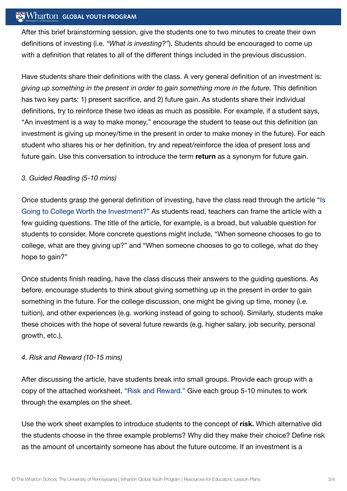## $\mathbb{R}$  Wharton Global youth program

After this brief brainstorming session, give the students one to two minutes to create their own definitions of investing (i.e. *"What is investing?"*). Students should be encouraged to come up with a definition that relates to all of the different things included in the previous discussion.

Have students share their definitions with the class. A very general definition of an investment is: *giving up something in the present in order to gain something more in the future.* This definition has two key parts: 1) present sacrifice, and 2) future gain. As students share their individual definitions, try to reinforce these two ideas as much as possible. For example, if a student says, "An investment is a way to make money," encourage the student to tease out this definition (an investment is giving up money/time in the present in order to make money in the future). For each student who shares his or her definition, try and repeat/reinforce the idea of present loss and future gain. Use this conversation to introduce the term **return** as a synonym for future gain.

#### *3. Guided Reading (5-10 mins)*

Once students grasp the general definition of investing, have the class read through the article "Is Going to College Worth the Investment?" [As students read,](https://globalyouth.wharton.upenn.edu/articles/is-going-to-college-worth-the-investment/) teachers can frame the article with a few guiding questions. The title of the article, for example, is a broad, but valuable question for students to consider. More concrete questions might include, "When someone chooses to go to college, what are they giving up?" and "When someone chooses to go to college, what do they hope to gain?"

Once students finish reading, have the class discuss their answers to the guiding questions. As before, encourage students to think about giving something up in the present in order to gain something in the future. For the college discussion, one might be giving up time, money (i.e. tuition), and other experiences (e.g. working instead of going to school). Similarly, students make these choices with the hope of several future rewards (e.g. higher salary, job security, personal growth, etc.).

#### *4. Risk and Reward (10-15 mins)*

After discussing the article, have students break into small groups. Provide each group with a copy of the attached worksheet, "Risk and [Reward."](https://globalyouth.wharton.upenn.edu/wp-content/uploads/2012/02/InvestmentAnalysis1_WhatIsInvestment_Worksheet.pdf) Give each group 5-10 minutes to work through the examples on the sheet.

Use the work sheet examples to introduce students to the concept of **risk.** Which alternative did the students choose in the three example problems? Why did they make their choice? Define risk as the amount of uncertainty someone has about the future outcome. If an investment is a